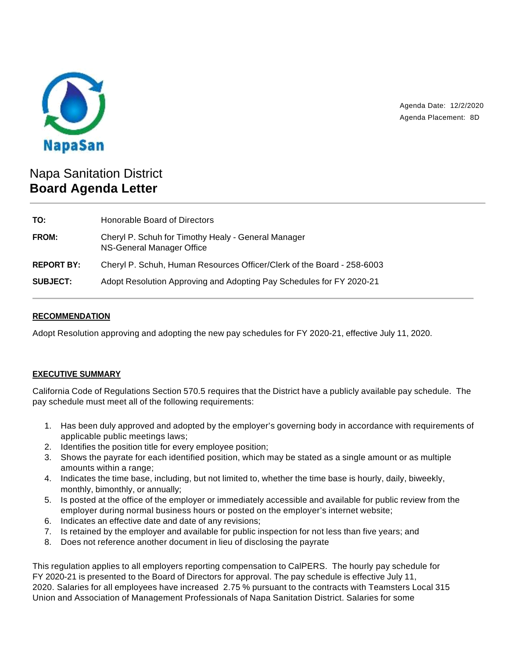

Agenda Date: 12/2/2020 Agenda Placement: 8D

# Napa Sanitation District **Board Agenda Letter**

| TO:               | Honorable Board of Directors                                                     |
|-------------------|----------------------------------------------------------------------------------|
| <b>FROM:</b>      | Cheryl P. Schuh for Timothy Healy - General Manager<br>NS-General Manager Office |
| <b>REPORT BY:</b> | Cheryl P. Schuh, Human Resources Officer/Clerk of the Board - 258-6003           |
| <b>SUBJECT:</b>   | Adopt Resolution Approving and Adopting Pay Schedules for FY 2020-21             |

## **RECOMMENDATION**

Adopt Resolution approving and adopting the new pay schedules for FY 2020-21, effective July 11, 2020.

# **EXECUTIVE SUMMARY**

California Code of Regulations Section 570.5 requires that the District have a publicly available pay schedule. The pay schedule must meet all of the following requirements:

- 1. Has been duly approved and adopted by the employer's governing body in accordance with requirements of applicable public meetings laws;
- 2. Identifies the position title for every employee position;
- 3. Shows the payrate for each identified position, which may be stated as a single amount or as multiple amounts within a range;
- 4. Indicates the time base, including, but not limited to, whether the time base is hourly, daily, biweekly, monthly, bimonthly, or annually;
- 5. Is posted at the office of the employer or immediately accessible and available for public review from the employer during normal business hours or posted on the employer's internet website;
- 6. Indicates an effective date and date of any revisions;
- 7. Is retained by the employer and available for public inspection for not less than five years; and
- 8. Does not reference another document in lieu of disclosing the payrate

This regulation applies to all employers reporting compensation to CalPERS. The hourly pay schedule for FY 2020-21 is presented to the Board of Directors for approval. The pay schedule is effective July 11, 2020. Salaries for all employees have increased 2.75 % pursuant to the contracts with Teamsters Local 315 Union and Association of Management Professionals of Napa Sanitation District. Salaries for some